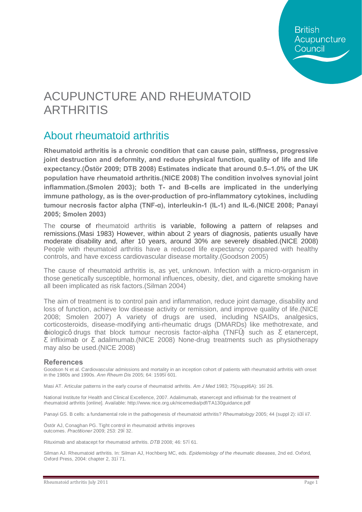# ACUPUNCTURE AND RHEUMATOID ARTHRITIS

# About rheumatoid arthritis

**Rheumatoid arthritis is a chronic condition that can cause pain, stiffness, progressive joint destruction and deformity, and reduce physical function, quality of life and life expectancy.(Östör 2009; DTB 2008) Estimates indicate that around 0.5–1.0% of the UK population have rheumatoid arthritis.(NICE 2008) The condition involves synovial joint inflammation.(Smolen 2003); both T- and B-cells are implicated in the underlying immune pathology, as is the over-production of pro-inflammatory cytokines, including tumour necrosis factor alpha (TNF-α), interleukin-1 (IL-1) and IL-6.(NICE 2008; Panayi 2005; Smolen 2003)** 

The course of rheumatoid arthritis is variable, following a pattern of relapses and remissions.(Masi 1983) However, within about 2 years of diagnosis, patients usually have moderate disability and, after 10 years, around 30% are severely disabled.(NICE 2008) People with rheumatoid arthritis have a reduced life expectancy compared with healthy controls, and have excess cardiovascular disease mortality.(Goodson 2005)

The cause of rheumatoid arthritis is, as yet, unknown. Infection with a micro-organism in those genetically susceptible, hormonal influences, obesity, diet, and cigarette smoking have all been implicated as risk factors.(Silman 2004)

The aim of treatment is to control pain and inflammation, reduce joint damage, disability and loss of function, achieve low disease activity or remission, and improve quality of life.(NICE 2008; Smolen 2007) A variety of drugs are used, including NSAIDs, analgesics, corticosteroids, disease-modifying anti-rheumatic drugs (DMARDs) like methotrexate, and  $\pm$ iologicg drugs that block tumour necrosis factor-alpha (TNF) such as etanercept, infliximab or adalimumab.(NICE 2008) None-drug treatments such as physiotherapy may also be used.(NICE 2008)

#### **References**

Goodson N et al. Cardiovascular admissions and mortality in an inception cohort of patients with rheumatoid arthritis with onset in the 1980s and 1990s. *Ann Rheum Dis* 2005; 64: 1595–601.

Masi AT. Articular patterns in the early course of rheumatoid arthritis. *Am J Med* 1983; 75(suppl6A): 16–26.

National Institute for Health and Clinical Excellence, 2007. Adalimumab, etanercept and infliximab for the treatment of rheumatoid arthritis [online]. Available: <http://www.nice.org.uk/nicemedia/pdf/TA130guidance.pdf>

Panayi GS. B cells: a fundamental role in the pathogenesis of rheumatoid arthritis? *Rheumatology* 2005; 44 (suppl 2): ii3–ii7.

Östör AJ, Conaghan PG. Tight control in rheumatoid arthritis improves outcomes. *Practitioner* 2009; 253: 29–32.

Rituximab and abatacept for rheumatoid arthritis. *DTB* 2008; 46: 57–61.

Silman AJ. Rheumatoid arthritis. In: Silman AJ, Hochberg MC, eds. *Epidemiology of the rheumatic diseases*, 2nd ed. Oxford, Oxford Press, 2004: chapter 2, 31–71.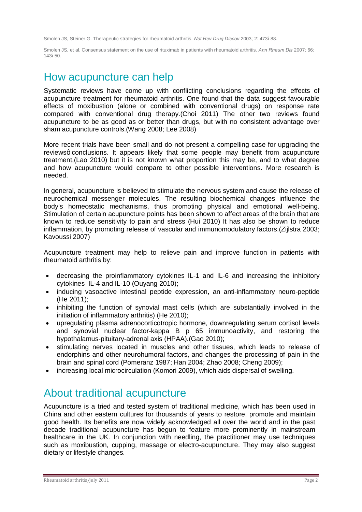Smolen JS, Steiner G. Therapeutic strategies for rheumatoid arthritis. *Nat Rev Drug Discov* 2003; 2: 473–88.

Smolen JS, et al. Consensus statement on the use of rituximab in patients with rheumatoid arthritis. *Ann Rheum Dis* 2007; 66: 143–50.

### How acupuncture can help

Systematic reviews have come up with conflicting conclusions regarding the effects of acupuncture treatment for rheumatoid arthritis. One found that the data suggest favourable effects of moxibustion (alone or combined with conventional drugs) on response rate compared with conventional drug therapy.(Choi 2011) The other two reviews found acupuncture to be as good as or better than drugs, but with no consistent advantage over sham acupuncture controls.(Wang 2008; Lee 2008)

More recent trials have been small and do not present a compelling case for upgrading the reviewsg conclusions. It appears likely that some people may benefit from acupuncture treatment,(Lao 2010) but it is not known what proportion this may be, and to what degree and how acupuncture would compare to other possible interventions. More research is needed.

In general, acupuncture is believed to stimulate the nervous system and cause the release of neurochemical messenger molecules. The resulting biochemical changes influence the body's homeostatic mechanisms, thus promoting physical and emotional well-being. Stimulation of certain acupuncture points has been shown to affect areas of the brain that are known to reduce sensitivity to pain and stress (Hui 2010) It has also be shown to reduce inflammation, by promoting release of vascular and immunomodulatory factors.(Zijlstra 2003; Kavoussi 2007)

Acupuncture treatment may help to relieve pain and improve function in patients with rheumatoid arthritis by:

- · decreasing the proinflammatory cytokines IL-1 and IL-6 and increasing the inhibitory cytokines IL-4 and IL-10 (Ouyang 2010);
- · inducing vasoactive intestinal peptide expression, an anti-inflammatory neuro-peptide (He 2011);
- · inhibiting the function of synovial mast cells (which are substantially involved in the initiation of inflammatory arthritis) (He 2010);
- · upregulating plasma adrenocorticotropic hormone, downregulating serum cortisol levels and synovial nuclear factor-kappa B p 65 immunoactivity, and restoring the hypothalamus-pituitary-adrenal axis (HPAA).(Gao 2010);
- stimulating nerves located in muscles and other tissues, which leads to release of endorphins and other neurohumoral factors, and changes the processing of pain in the brain and spinal cord (Pomeranz 1987; Han 2004; Zhao 2008; Cheng 2009);
- · increasing local microcirculation (Komori 2009), which aids dispersal of swelling.

### About traditional acupuncture

Acupuncture is a tried and tested system of traditional medicine, which has been used in China and other eastern cultures for thousands of years to restore, promote and maintain good health. Its benefits are now widely acknowledged all over the world and in the past decade traditional acupuncture has begun to feature more prominently in mainstream healthcare in the UK. In conjunction with needling, the practitioner may use techniques such as moxibustion, cupping, massage or electro-acupuncture. They may also suggest dietary or lifestyle changes.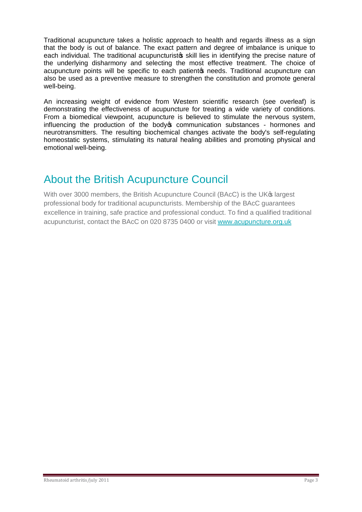Traditional acupuncture takes a holistic approach to health and regards illness as a sign that the body is out of balance. The exact pattern and degree of imbalance is unique to each individual. The traditional acupuncturistos skill lies in identifying the precise nature of the underlying disharmony and selecting the most effective treatment. The choice of acupuncture points will be specific to each patient to needs. Traditional acupuncture can also be used as a preventive measure to strengthen the constitution and promote general well-being.

An increasing weight of evidence from Western scientific research (see overleaf) is demonstrating the effectiveness of acupuncture for treating a wide variety of conditions. From a biomedical viewpoint, acupuncture is believed to stimulate the nervous system, influencing the production of the body to communication substances - hormones and neurotransmitters. The resulting biochemical changes activate the body's self-regulating homeostatic systems, stimulating its natural healing abilities and promoting physical and emotional well-being.

# About the British Acupuncture Council

With over 3000 members, the British Acupuncture Council (BAcC) is the UK<sub>®</sub> largest professional body for traditional acupuncturists. Membership of the BAcC guarantees excellence in training, safe practice and professional conduct. To find a qualified traditional acupuncturist, contact the BAcC on 020 8735 0400 or visit [www.acupuncture.org.uk](http://www.acupuncture.org.uk/)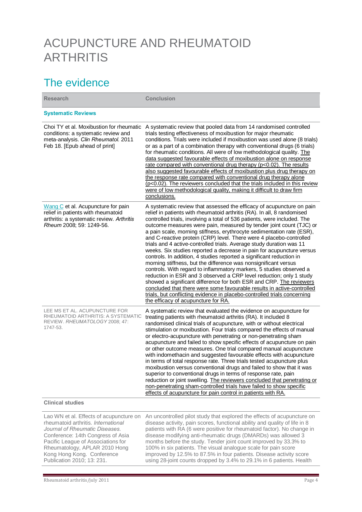# ACUPUNCTURE AND RHEUMATOID **ARTHRITIS**

## The evidence

| <b>Research</b>                                                                                                                                                                                                                                                                          | <b>Conclusion</b>                                                                                                                                                                                                                                                                                                                                                                                                                                                                                                                                                                                                                                                                                                                                                                                                                                                                                                                                                                                                                                                                                                                                                  |
|------------------------------------------------------------------------------------------------------------------------------------------------------------------------------------------------------------------------------------------------------------------------------------------|--------------------------------------------------------------------------------------------------------------------------------------------------------------------------------------------------------------------------------------------------------------------------------------------------------------------------------------------------------------------------------------------------------------------------------------------------------------------------------------------------------------------------------------------------------------------------------------------------------------------------------------------------------------------------------------------------------------------------------------------------------------------------------------------------------------------------------------------------------------------------------------------------------------------------------------------------------------------------------------------------------------------------------------------------------------------------------------------------------------------------------------------------------------------|
| <b>Systematic Reviews</b>                                                                                                                                                                                                                                                                |                                                                                                                                                                                                                                                                                                                                                                                                                                                                                                                                                                                                                                                                                                                                                                                                                                                                                                                                                                                                                                                                                                                                                                    |
| Choi TY et al. Moxibustion for rheumatic<br>conditions: a systematic review and<br>meta-analysis. Clin Rheumatol. 2011<br>Feb 18. [Epub ahead of print]                                                                                                                                  | A systematic review that pooled data from 14 randomised controlled<br>trials testing effectiveness of moxibustion for major rheumatic<br>conditions. Trials were included if moxibustion was used alone (8 trials)<br>or as a part of a combination therapy with conventional drugs (6 trials)<br>for rheumatic conditions. All were of low methodological quality. The<br>data suggested favourable effects of moxibustion alone on response<br>rate compared with conventional drug therapy (p<0.02). The results<br>also suggested favourable effects of moxibustion plus drug therapy on<br>the response rate compared with conventional drug therapy alone<br>(p<0.02). The reviewers concluded that the trials included in this review<br>were of low methodological quality, making it difficult to draw firm<br>conclusions.                                                                                                                                                                                                                                                                                                                               |
| Wang C et al. Acupuncture for pain<br>relief in patients with rheumatoid<br>arthritis: a systematic review. Arthritis<br>Rheum 2008; 59: 1249-56.                                                                                                                                        | A systematic review that assessed the efficacy of acupuncture on pain<br>relief in patients with rheumatoid arthritis (RA). In all, 8 randomised<br>controlled trials, involving a total of 536 patients, were included. The<br>outcome measures were pain, measured by tender joint count (TJC) or<br>a pain scale, morning stiffness, erythrocyte sedimentation rate (ESR),<br>and C-reactive protein (CRP) level. There were 4 placebo-controlled<br>trials and 4 active-controlled trials. Average study duration was 11<br>weeks. Six studies reported a decrease in pain for acupuncture versus<br>controls. In addition, 4 studies reported a significant reduction in<br>morning stiffness, but the difference was nonsignificant versus<br>controls. With regard to inflammatory markers, 5 studies observed a<br>reduction in ESR and 3 observed a CRP level reduction; only 1 study<br>showed a significant difference for both ESR and CRP. The reviewers<br>concluded that there were some favourable results in active-controlled<br>trials, but conflicting evidence in placebo-controlled trials concerning<br>the efficacy of acupuncture for RA. |
| LEE MS ET AL. ACUPUNCTURE FOR<br>RHEUMATOID ARTHRITIS: A SYSTEMATIC<br>REVIEW. RHEUMATOLOGY 2008; 47:<br>1747-53.                                                                                                                                                                        | A systematic review that evaluated the evidence on acupuncture for<br>treating patients with rheumatoid arthritis (RA). It included 8<br>randomised clinical trials of acupuncture, with or without electrical<br>stimulation or moxibustion. Four trials compared the effects of manual<br>or electro-acupuncture with penetrating or non-penetrating sham<br>acupuncture and failed to show specific effects of acupuncture on pain<br>or other outcome measures. One trial compared manual acupuncture<br>with indomethacin and suggested favourable effects with acupuncture<br>in terms of total response rate. Three trials tested acupuncture plus<br>moxibustion versus conventional drugs and failed to show that it was<br>superior to conventional drugs in terms of response rate, pain<br>reduction or joint swelling. The reviewers concluded that penetrating or<br>non-penetrating sham-controlled trials have failed to show specific<br>effects of acupuncture for pain control in patients with RA.                                                                                                                                             |
| <b>Clinical studies</b>                                                                                                                                                                                                                                                                  |                                                                                                                                                                                                                                                                                                                                                                                                                                                                                                                                                                                                                                                                                                                                                                                                                                                                                                                                                                                                                                                                                                                                                                    |
| Lao WN et al. Effects of acupuncture on<br>rheumatoid arthritis. International<br>Journal of Rheumatic Diseases.<br>Conference: 14th Congress of Asia<br>Pacific League of Associations for<br>Rheumatology, APLAR 2010 Hong<br>Kong Hong Kong. Conference<br>Publication 2010; 13: 231. | An uncontrolled pilot study that explored the effects of acupuncture on<br>disease activity, pain scores, functional ability and quality of life in 8<br>patients with RA (6 were positive for rheumatoid factor). No change in<br>disease modifying anti-rheumatic drugs (DMARDs) was allowed 3<br>months before the study. Tender joint count improved by 33.3% to<br>100% in six patients. The visual analogue scale for pain score<br>improved by 12.5% to 87.5% in four patients. Disease activity score<br>using 28-joint counts dropped by 3.4% to 29.1% in 6 patients. Health                                                                                                                                                                                                                                                                                                                                                                                                                                                                                                                                                                              |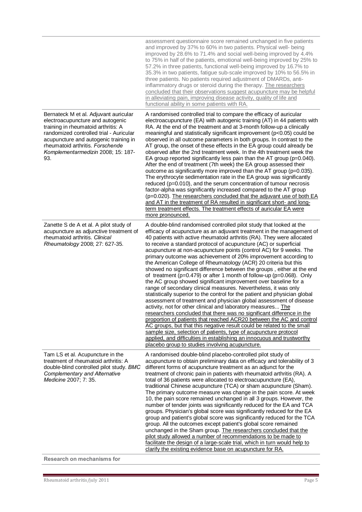|                                                                                                                                                                                                                                                                                       | assessment questionnaire score remained unchanged in five patients<br>and improved by 37% to 60% in two patients. Physical well- being<br>improved by 28.6% to 71.4% and social well-being improved by 4.4%<br>to 75% in half of the patients, emotional well-being improved by 25% to<br>57.2% in three patients, functional well-being improved by 16.7% to<br>35.3% in two patients, fatigue sub-scale improved by 10% to 56.5% in<br>three patients. No patients required adjustment of DMARDs, anti-<br>inflammatory drugs or steroid during the therapy. The researchers<br>concluded that their observations suggest acupuncture may be helpful<br>in alleviating pain, improving disease activity, quality of life and<br>functional ability in some patients with RA.                                                                                                                                                                                                                                                                                                                                                                                                                                                                                                                                                                                                                                                                           |
|---------------------------------------------------------------------------------------------------------------------------------------------------------------------------------------------------------------------------------------------------------------------------------------|----------------------------------------------------------------------------------------------------------------------------------------------------------------------------------------------------------------------------------------------------------------------------------------------------------------------------------------------------------------------------------------------------------------------------------------------------------------------------------------------------------------------------------------------------------------------------------------------------------------------------------------------------------------------------------------------------------------------------------------------------------------------------------------------------------------------------------------------------------------------------------------------------------------------------------------------------------------------------------------------------------------------------------------------------------------------------------------------------------------------------------------------------------------------------------------------------------------------------------------------------------------------------------------------------------------------------------------------------------------------------------------------------------------------------------------------------------|
| Bernateck M et al. Adjuvant auricular<br>electroacupuncture and autogenic<br>training in rheumatoid arthritis: A<br>randomized controlled trial - Auricular<br>acupuncture and autogenic training in<br>rheumatoid arthritis. Forschende<br>Komplementarmedizin 2008; 15: 187-<br>93. | A randomised controlled trial to compare the efficacy of auricular<br>electroacupuncture (EA) with autogenic training (AT) in 44 patients with<br>RA. At the end of the treatment and at 3-month follow-up a clinically<br>meaningful and statistically significant improvement (p<0.05) could be<br>observed in all outcome parameters in both groups. In contrast to the<br>AT group, the onset of these effects in the EA group could already be<br>observed after the 2nd treatment week. In the 4th treatment week the<br>EA group reported significantly less pain than the AT group ( $p=0.040$ ).<br>After the end of treatment (7th week) the EA group assessed their<br>outcome as significantly more improved than the AT group (p=0.035).<br>The erythrocyte sedimentation rate in the EA group was significantly<br>reduced (p=0.010), and the serum concentration of tumour necrosis<br>factor-alpha was significantly increased compared to the AT group<br>(p=0.020). The researchers concluded that the adjuvant use of both EA<br>and AT in the treatment of RA resulted in significant short- and long-<br>term treatment effects. The treatment effects of auricular EA were<br>more pronounced.                                                                                                                                                                                                                                     |
| Zanette S de A et al. A pilot study of<br>acupuncture as adjunctive treatment of<br>rheumatoid arthritis. Clinical<br>Rheumatology 2008; 27: 627-35.                                                                                                                                  | A double-blind randomised controlled pilot study that looked at the<br>efficacy of acupuncture as an adjuvant treatment in the management of<br>40 patients with active rheumatoid arthritis (RA). They were allocated<br>to receive a standard protocol of acupuncture (AC) or superficial<br>acupuncture at non-acupuncture points (control AC) for 9 weeks. The<br>primary outcome was achievement of 20% improvement according to<br>the American College of Rheumatology (ACR) 20 criteria but this<br>showed no significant difference between the groups, either at the end<br>of treatment ( $p=0.479$ ) or after 1 month of follow-up ( $p=0.068$ ). Only<br>the AC group showed significant improvement over baseline for a<br>range of secondary clinical measures. Nevertheless, it was only<br>statistically superior to the control for the patient and physician global<br>assessment of treatment and physician global assessment of disease<br>activity, not for other clinical and laboratory measures The<br>researchers concluded that there was no significant difference in the<br>proportion of patients that reached ACR20 between the AC and control<br>AC groups, but that this negative result could be related to the small<br>sample size, selection of patients, type of acupuncture protocol<br>applied, and difficulties in establishing an innocuous and trustworthy<br>placebo group to studies involving acupuncture. |
| Tam LS et al. Acupuncture in the<br>treatment of rheumatoid arthritis: A<br>double-blind controlled pilot study. BMC<br><b>Complementary and Alternative</b><br>Medicine 2007; 7: 35.<br>Research on mechanisms for                                                                   | A randomised double-blind placebo-controlled pilot study of<br>acupuncture to obtain preliminary data on efficacy and tolerability of 3<br>different forms of acupuncture treatment as an adjunct for the<br>treatment of chronic pain in patients with rheumatoid arthritis (RA). A<br>total of 36 patients were allocated to electroacupuncture (EA),<br>traditional Chinese acupuncture (TCA) or sham acupuncture (Sham).<br>The primary outcome measure was change in the pain score. At week<br>10, the pain score remained unchanged in all 3 groups. However, the<br>number of tender joints was significantly reduced for the EA and TCA<br>groups. Physician's global score was significantly reduced for the EA<br>group and patient's global score was significantly reduced for the TCA<br>group. All the outcomes except patient's global score remained<br>unchanged in the Sham group. The researchers concluded that the<br>pilot study allowed a number of recommendations to be made to<br>facilitate the design of a large-scale trial, which in turn would help to<br>clarify the existing evidence base on acupuncture for RA.                                                                                                                                                                                                                                                                                                      |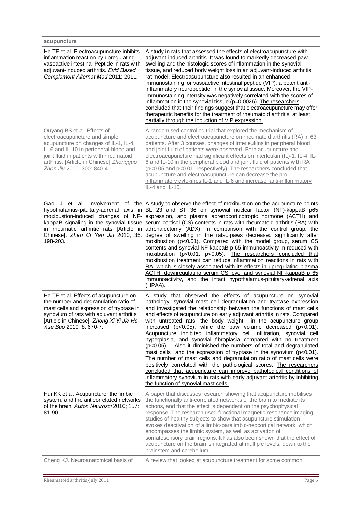| acupuncture                                                                                                                                                                                                                                                          |                                                                                                                                                                                                                                                                                                                                                                                                                                                                                                                                                                                                                                                                                                                                                                                                                                                                                                                                                                                                                                                                                                                                                                           |
|----------------------------------------------------------------------------------------------------------------------------------------------------------------------------------------------------------------------------------------------------------------------|---------------------------------------------------------------------------------------------------------------------------------------------------------------------------------------------------------------------------------------------------------------------------------------------------------------------------------------------------------------------------------------------------------------------------------------------------------------------------------------------------------------------------------------------------------------------------------------------------------------------------------------------------------------------------------------------------------------------------------------------------------------------------------------------------------------------------------------------------------------------------------------------------------------------------------------------------------------------------------------------------------------------------------------------------------------------------------------------------------------------------------------------------------------------------|
| He TF et al. Electroacupuncture inhibits<br>inflammation reaction by upregulating<br>vasoactive intestinal Peptide in rats with<br>adjuvant-induced arthritis. Evid Based<br>Complement Alternat Med 2011; 2011.                                                     | A study in rats that assessed the effects of electroacupuncture with<br>adjuvant-induced arthritis. It was found to markedly decreased paw<br>swelling and the histologic scores of inflammation in the synovial<br>tissue, and reduced body weight loss in an adjuvant-induced arthritis<br>rat model. Electroacupuncture also resulted in an enhanced<br>immunostaining for vasoactive intestinal peptide (VIP), a potent anti-<br>inflammatory neuropeptide, in the synovial tissue. Moreover, the VIP-<br>immunostaining intensity was negatively correlated with the scores of<br>inflammation in the synovial tissue (p=0.0026). The researchers<br>concluded that their findings suggest that electroacupuncture may offer<br>therapeutic benefits for the treatment of rheumatoid arthritis, at least<br>partially through the induction of VIP expression.                                                                                                                                                                                                                                                                                                       |
| Ouyang BS et al. Effects of<br>electroacupuncture and simple<br>acupuncture on changes of IL-1, IL-4,<br>IL-6 and IL-10 in peripheral blood and<br>joint fluid in patients with rheumatoid<br>arthritis. [Article in Chinese] Zhongguo<br>Zhen Jiu 2010; 300: 840-4. | A randomised controlled trial that explored the mechanism of<br>acupuncture and electroacupuncture on rheumatoid arthritis (RA) in 63<br>patients. After 3 courses, changes of interleukins in peripheral blood<br>and joint fluid of patients were observed. Both acupuncture and<br>electroacupuncture had significant effects on interleukin (IL)-1, IL-4, IL-<br>6 and IL-10 in the peripheral blood and joint fluid of patients with RA<br>(p<0.05 and p<0.01, respectively). The researchers concluded that<br>acupuncture and electroacupuncture can decrease the pro-<br>inflammatory cytokines IL-1 and IL-6 and increase anti-inflammatory<br>IL-4 and IL-10.                                                                                                                                                                                                                                                                                                                                                                                                                                                                                                   |
| 198-203.                                                                                                                                                                                                                                                             | Gao J et al. Involvement of the A study to observe the effect of moxibustion on the acupuncture points<br>hypothalamus-pituitary-adrenal axis in BL 23 and ST 36 on synovial nuclear factor (NF)-kappaB p65<br>moxibustion-induced changes of NF- expression, and plasma adrenocorticotropic hormone (ACTH) and<br>kappaB signaling in the synovial tissue serum cortisol (CS) contents in rats with rheumatoid arthritis (RA) with<br>in rheumatic arthritic rats [Article in adrenalectomy (ADX). In comparison with the control group, the<br>Chinese]. Zhen Ci Yan Jiu 2010; 35: degree of swelling in the ratsq paws decreased significantly after<br>moxibustion (p<0.01). Compared with the model group, serum CS<br>contents and synovial NF-kappaB p 65 immunoactivity in reduced with<br>moxibustion (p<0.01, p<0.05). The researchers concluded that<br>moxibustion treatment can reduce inflammation reactions in rats with<br>RA, which is closely associated with its effects in upregulating plasma<br>ACTH, downregulating serum CS level and synovial NF-kappaB p 65<br>immunoactivity,<br>and the intact hypothalamus-pituitary-adrenal axis<br>(HPAA). |
| He TF et al. Effects of acupuncture on<br>the number and degranulation ratio of<br>mast cells and expression of tryptase in<br>synovium of rats with adjuvant arthritis<br>[Article in Chinese]. Zhong Xi Yi Jie He<br>Xue Bao 2010; 8: 670-7.                       | A study that observed the effects of acupuncture on synovial<br>pathology, synovial mast cell degranulation and tryptase expression<br>and investigated the relationship between the functions of mast cells<br>and effects of acupuncture on early adjuvant arthritis in rats. Compared<br>with untreated rats, the body weight in the acupuncture group<br>increased ( $p<0.05$ ), while the paw volume decreased ( $p<0.01$ ).<br>Acupuncture inhibited inflammatory cell infiltration, synovial cell<br>hyperplasia, and synovial fibroplasia compared with no treatment<br>Also it diminished the numbers of total and degranulated<br>(p<0.05).<br>mast cells and the expression of tryptase in the synovium ( $p<0.01$ ).<br>The number of mast cells and degranulation ratio of mast cells were<br>positively correlated with the pathological scores. The researchers<br>concluded that acupuncture can improve pathological conditions of<br>inflammatory synovium in rats with early adjuvant arthritis by inhibiting<br>the function of synovial mast cells.                                                                                                  |
| Hui KK et al. Acupuncture, the limbic<br>system, and the anticorrelated networks<br>of the brain. Auton Neurosci 2010; 157:<br>81-90.                                                                                                                                | A paper that discusses research showing that acupuncture mobilises<br>the functionally anti-correlated networks of the brain to mediate its<br>actions, and that the effect is dependent on the psychophysical<br>response. The research used functional magnetic resonance imaging<br>studies of healthy subjects to show that acupuncture stimulation<br>evokes deactivation of a limbic-paralimbic-neocortical network, which<br>encompasses the limbic system, as well as activation of<br>somatosensory brain regions. It has also been shown that the effect of<br>acupuncture on the brain is integrated at multiple levels, down to the<br>brainstem and cerebellum.                                                                                                                                                                                                                                                                                                                                                                                                                                                                                              |
| Cheng KJ. Neuroanatomical basis of                                                                                                                                                                                                                                   | A review that looked at acupuncture treatment for some common                                                                                                                                                                                                                                                                                                                                                                                                                                                                                                                                                                                                                                                                                                                                                                                                                                                                                                                                                                                                                                                                                                             |